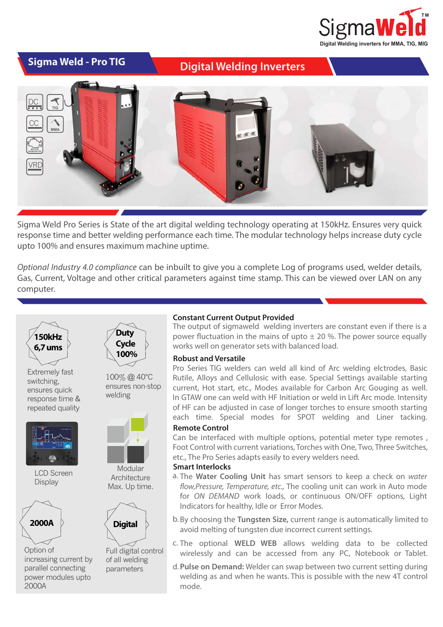

**Digital Welding Inverters** 



Sigma Weld Pro Series is State of the art digital welding technology operating at 150kHz. Ensures very quick response time and better welding performance each time. The modular technology helps increase duty cycle upto 100% and ensures maximum machine uptime.

*Optional Industry 4.0 compliance* can be inbuilt to give you a complete Log of programs used, welder details, Gas, Current, Voltage and other critical parameters against time stamp. This can be viewed over LAN on any computer.



Extremely fast switching, ensures quick response time & repeated quality



LCD Screen **Display** 



Option of increasing current by parallel connecting power modules upto 2000A



100% @ 40°C ensures non-stop welding



Modular **Architecture** Max. Up time.



Full digital control of all welding parameters

## **Constant Current Output Provided**

The output of sigmaweld welding inverters are constant even if there is a power fluctuation in the mains of upto  $\pm$  20 %. The power source equally works well on generator sets with balanced load.

### **Robust and Versatile**

Pro Series TIG welders can weld all kind of Arc welding elctrodes, Basic Rutile, Alloys and Cellulosic with ease. Special Settings available starting current, Hot start, etc., Modes available for Carbon Arc Gouging as well. In GTAW one can weld with HF Initiation or weld in Lift Arc mode. Intensity of HF can be adjusted in case of longer torches to ensure smooth starting each time. Special modes for SPOT welding and Liner tacking.

## **Remote Control**

Can be interfaced with multiple options, potential meter type remotes , Foot Control with current variations, Torches with One, Two, Three Switches, etc., The Pro Series adapts easily to every welders need.

### **Smart Interlocks**

- a. The Water Cooling Unit has smart sensors to keep a check on water flow, Pressure, Temperature, etc., The cooling unit can work in Auto mode for *ON DEMAND* work loads, or continuous ON/OFF options, Light Indicators for healthy, Idle or Error Modes.
- b. By choosing the Tungsten Size, current range is automatically limited to avoid melting of tungsten due incorrect current settings.
- c. The optional WELD WEB allows welding data to be collected wirelessly and can be accessed from any PC, Notebook or Tablet.
- **Pulse on Demand:** Welder can swap between two current setting during d.welding as and when he wants. This is possible with the new 4T control mode.